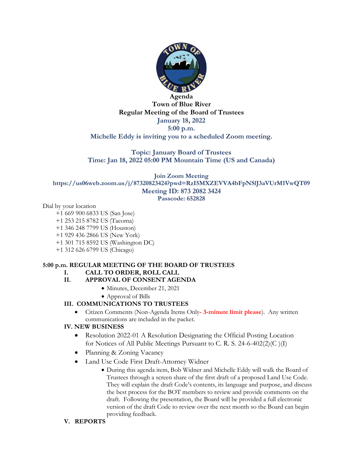

**Agenda Town of Blue River Regular Meeting of the Board of Trustees January 18, 2022 5:00 p.m. Michelle Eddy is inviting you to a scheduled Zoom meeting.**

**Topic: January Board of Trustees Time: Jan 18, 2022 05:00 PM Mountain Time (US and Canada)**

**Join Zoom Meeting https://us06web.zoom.us/j/87320823424?pwd=RzI5MXZEVVA4bFpNSlJ3aVUrM1VwQT09 Meeting ID: 873 2082 3424**

**Passcode: 652828**

Dial by your location

- +1 669 900 6833 US (San Jose)
- +1 253 215 8782 US (Tacoma)
- +1 346 248 7799 US (Houston)
- +1 929 436 2866 US (New York)
- +1 301 715 8592 US (Washington DC)
- +1 312 626 6799 US (Chicago)

# **5:00 p.m. REGULAR MEETING OF THE BOARD OF TRUSTEES**

# **I. CALL TO ORDER, ROLL CALL**

- **II. APPROVAL OF CONSENT AGENDA**
	- Minutes, December 21, 2021
		- Approval of Bills

# **III. COMMUNICATIONS TO TRUSTEES**

• Citizen Comments (Non-Agenda Items Only**- 3-minute limit please**). Any written communications are included in the packet.

# **IV. NEW BUSINESS**

- Resolution 2022-01 A Resolution Designating the Official Posting Location for Notices of All Public Meetings Pursuant to C. R. S. 24-6-402(2)(C )(I)
- Planning & Zoning Vacancy
- Land Use Code First Draft-Attorney Widner
	- During this agenda item, Bob Widner and Michelle Eddy will walk the Board of Trustees through a screen share of the first draft of a proposed Land Use Code. They will explain the draft Code's contents, its language and purpose, and discuss the best process for the BOT members to review and provide comments on the draft. Following the presentation, the Board will be provided a full electronic version of the draft Code to review over the next month so the Board can begin providing feedback.
- **V. REPORTS**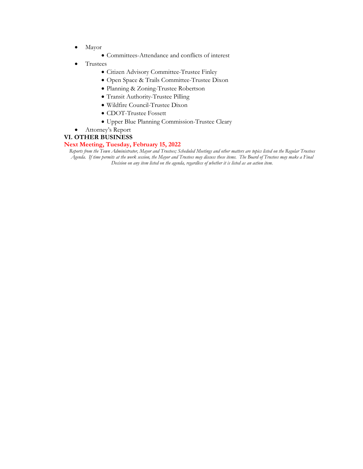- Mayor
	- Committees-Attendance and conflicts of interest
- Trustees
	- Citizen Advisory Committee-Trustee Finley
	- Open Space & Trails Committee-Trustee Dixon
	- Planning & Zoning-Trustee Robertson
	- Transit Authority-Trustee Pilling
	- Wildfire Council-Trustee Dixon
	- CDOT-Trustee Fossett
	- Upper Blue Planning Commission-Trustee Cleary
- Attorney's Report

#### **VI. OTHER BUSINESS**

#### **Next Meeting, Tuesday, February 15, 2022**

*Reports from the Town Administrator, Mayor and Trustees; Scheduled Meetings and other matters are topics listed on the Regular Trustees Agenda. If time permits at the work session, the Mayor and Trustees may discuss these items. The Board of Trustees may make a Final Decision on any item listed on the agenda, regardless of whether it is listed as an action item.*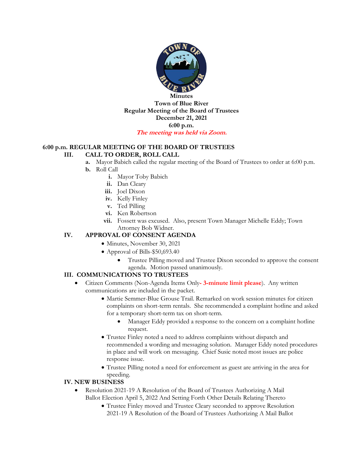

## **6:00 p.m. REGULAR MEETING OF THE BOARD OF TRUSTEES**

#### **III. CALL TO ORDER, ROLL CALL**

- **a.** Mayor Babich called the regular meeting of the Board of Trustees to order at 6:00 p.m.
- **b.** Roll Call
	- **i.** Mayor Toby Babich
	- **ii.** Dan Cleary
	- **iii.** Joel Dixon
	- **iv.** Kelly Finley
	- **v.** Ted Pilling
	- **vi.** Ken Robertson
	- **vii.** Fossett was excused. Also, present Town Manager Michelle Eddy; Town Attorney Bob Widner.

# **IV. APPROVAL OF CONSENT AGENDA**

- Minutes, November 30, 2021
- Approval of Bills-\$50,693.40
	- Trustee Pilling moved and Trustee Dixon seconded to approve the consent agenda. Motion passed unanimously.

## **III. COMMUNICATIONS TO TRUSTEES**

- Citizen Comments (Non-Agenda Items Only**- 3-minute limit please**). Any written communications are included in the packet.
	- Martie Semmer-Blue Grouse Trail. Remarked on work session minutes for citizen complaints on short-term rentals. She recommended a complaint hotline and asked for a temporary short-term tax on short-term.
		- Manager Eddy provided a response to the concern on a complaint hotline request.
	- Trustee Finley noted a need to address complaints without dispatch and recommended a wording and messaging solution. Manager Eddy noted procedures in place and will work on messaging. Chief Susic noted most issues are police response issue.
	- Trustee Pilling noted a need for enforcement as guest are arriving in the area for speeding.

## **IV. NEW BUSINESS**

- Resolution 2021-19 A Resolution of the Board of Trustees Authorizing A Mail Ballot Election April 5, 2022 And Setting Forth Other Details Relating Thereto
	- Trustee Finley moved and Trustee Cleary seconded to approve Resolution 2021-19 A Resolution of the Board of Trustees Authorizing A Mail Ballot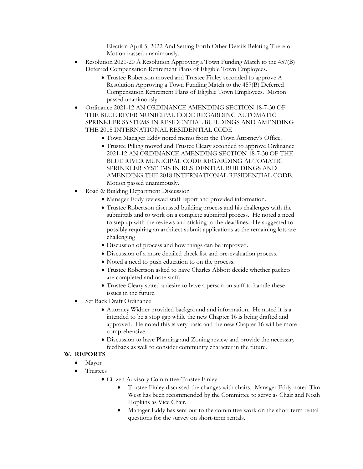Election April 5, 2022 And Setting Forth Other Details Relating Thereto. Motion passed unanimously.

- Resolution 2021-20 A Resolution Approving a Town Funding Match to the 457(B) Deferred Compensation Retirement Plans of Eligible Town Employees.
	- Trustee Robertson moved and Trustee Finley seconded to approve A Resolution Approving a Town Funding Match to the 457(B) Deferred Compensation Retirement Plans of Eligible Town Employees. Motion passed unanimously.
- Ordinance 2021-12 AN ORDINANCE AMENDING SECTION 18-7-30 OF THE BLUE RIVER MUNICIPAL CODE REGARDING AUTOMATIC SPRINKLER SYSTEMS IN RESIDENTIAL BUILDINGS AND AMENDING THE 2018 INTERNATIONAL RESIDENTIAL CODE
	- Town Manager Eddy noted memo from the Town Attorney's Office.
	- Trustee Pilling moved and Trustee Cleary seconded to approve Ordinance 2021-12 AN ORDINANCE AMENDING SECTION 18-7-30 OF THE BLUE RIVER MUNICIPAL CODE REGARDING AUTOMATIC SPRINKLER SYSTEMS IN RESIDENTIAL BUILDINGS AND AMENDING THE 2018 INTERNATIONAL RESIDENTIAL CODE. Motion passed unanimously.
- Road & Building Department Discussion
	- Manager Eddy reviewed staff report and provided information.
	- Trustee Robertson discussed building process and his challenges with the submittals and to work on a complete submittal process. He noted a need to step up with the reviews and sticking to the deadlines. He suggested to possibly requiring an architect submit applications as the remaining lots are challenging
	- Discussion of process and how things can be improved.
	- Discussion of a more detailed check list and pre-evaluation process.
	- Noted a need to push education to on the process.
	- Trustee Robertson asked to have Charles Abbott decide whether packets are completed and note staff.
	- Trustee Cleary stated a desire to have a person on staff to handle these issues in the future.
- Set Back Draft Ordinance
	- Attorney Widner provided background and information. He noted it is a intended to be a stop gap while the new Chapter 16 is being drafted and approved. He noted this is very basic and the new Chapter 16 will be more comprehensive.
	- Discussion to have Planning and Zoning review and provide the necessary feedback as well to consider community character in the future.

## **W. REPORTS**

- Mayor
- Trustees
	- Citizen Advisory Committee-Trustee Finley
		- Trustee Finley discussed the changes with chairs. Manager Eddy noted Tim West has been recommended by the Committee to serve as Chair and Noah Hopkins as Vice Chair.
		- Manager Eddy has sent out to the committee work on the short term rental questions for the survey on short-term rentals.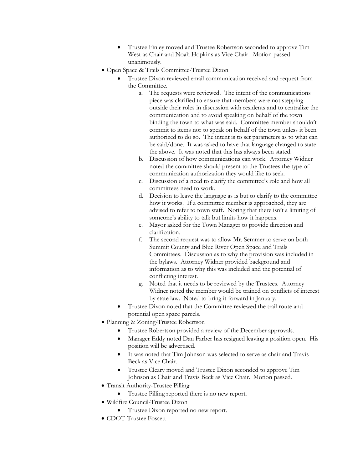- Trustee Finley moved and Trustee Robertson seconded to approve Tim West as Chair and Noah Hopkins as Vice Chair. Motion passed unanimously.
- Open Space & Trails Committee-Trustee Dixon
	- Trustee Dixon reviewed email communication received and request from the Committee.
		- a. The requests were reviewed. The intent of the communications piece was clarified to ensure that members were not stepping outside their roles in discussion with residents and to centralize the communication and to avoid speaking on behalf of the town binding the town to what was said. Committee member shouldn't commit to items nor to speak on behalf of the town unless it been authorized to do so. The intent is to set parameters as to what can be said/done. It was asked to have that language changed to state the above. It was noted that this has always been stated.
		- b. Discussion of how communications can work. Attorney Widner noted the committee should present to the Trustees the type of communication authorization they would like to seek.
		- c. Discussion of a need to clarify the committee's role and how all committees need to work.
		- d. Decision to leave the language as is but to clarify to the committee how it works. If a committee member is approached, they are advised to refer to town staff. Noting that there isn't a limiting of someone's ability to talk but limits how it happens.
		- e. Mayor asked for the Town Manager to provide direction and clarification.
		- f. The second request was to allow Mr. Semmer to serve on both Summit County and Blue River Open Space and Trails Committees. Discussion as to why the provision was included in the bylaws. Attorney Widner provided background and information as to why this was included and the potential of conflicting interest.
		- g. Noted that it needs to be reviewed by the Trustees. Attorney Widner noted the member would be trained on conflicts of interest by state law. Noted to bring it forward in January.
	- Trustee Dixon noted that the Committee reviewed the trail route and potential open space parcels.
- Planning & Zoning-Trustee Robertson
	- Trustee Robertson provided a review of the December approvals.
	- Manager Eddy noted Dan Farber has resigned leaving a position open. His position will be advertised.
	- It was noted that Tim Johnson was selected to serve as chair and Travis Beck as Vice Chair.
	- Trustee Cleary moved and Trustee Dixon seconded to approve Tim Johnson as Chair and Travis Beck as Vice Chair. Motion passed.
- Transit Authority-Trustee Pilling
	- Trustee Pilling reported there is no new report.
- Wildfire Council-Trustee Dixon
	- Trustee Dixon reported no new report.
- CDOT-Trustee Fossett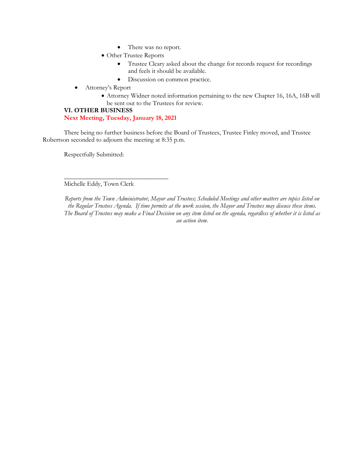- There was no report.
- Other Trustee Reports
	- Trustee Cleary asked about the change for records request for recordings and feels it should be available.
	- Discussion on common practice.
- Attorney's Report
	- Attorney Widner noted information pertaining to the new Chapter 16, 16A, 16B will be sent out to the Trustees for review.

# **VI. OTHER BUSINESS**

# **Next Meeting, Tuesday, January 18, 2021**

\_\_\_\_\_\_\_\_\_\_\_\_\_\_\_\_\_\_\_\_\_\_\_\_\_\_\_\_\_\_\_\_

There being no further business before the Board of Trustees, Trustee Finley moved, and Trustee Robertson seconded to adjourn the meeting at 8:35 p.m.

Respectfully Submitted:

Michelle Eddy, Town Clerk

*Reports from the Town Administrator, Mayor and Trustees; Scheduled Meetings and other matters are topics listed on the Regular Trustees Agenda. If time permits at the work session, the Mayor and Trustees may discuss these items. The Board of Trustees may make a Final Decision on any item listed on the agenda, regardless of whether it is listed as an action item.*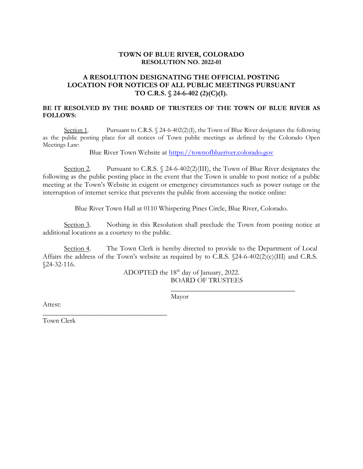# **TOWN OF BLUE RIVER, COLORADO RESOLUTION NO. 2022-01**

# **A RESOLUTION DESIGNATING THE OFFICIAL POSTING LOCATION FOR NOTICES OF ALL PUBLIC MEETINGS PURSUANT TO C.R.S. § 24-6-402 (2)(C)(I).**

# **BE IT RESOLVED BY THE BOARD OF TRUSTEES OF THE TOWN OF BLUE RIVER AS FOLLOWS:**

Section 1. Pursuant to C.R.S. § 24-6-402(2)(I), the Town of Blue River designates the following as the public posting place for all notices of Town public meetings as defined by the Colorado Open Meetings Law:

Blue River Town Website at [https://townofblueriver.colorado.gov](https://townofblueriver.colorado.gov/)

Section 2. Pursuant to C.R.S.  $\frac{24-6-402(2)(III)}{111}$ , the Town of Blue River designates the following as the public posting place in the event that the Town is unable to post notice of a public meeting at the Town's Website in exigent or emergency circumstances such as power outage or the interruption of internet service that prevents the public from accessing the notice online:

Blue River Town Hall at 0110 Whispering Pines Circle, Blue River, Colorado.

Section 3. Nothing in this Resolution shall preclude the Town from posting notice at additional locations as a courtesy to the public.

Section 4. The Town Clerk is hereby directed to provide to the Department of Local Affairs the address of the Town's website as required by to C.R.S. §24-6-402(2)(c)(III) and C.R.S. §24-32-116.

> ADOPTED the 18<sup>th</sup> day of January, 2022. BOARD OF TRUSTEES

> > \_\_\_\_\_\_\_\_\_\_\_\_\_\_\_\_\_\_\_\_\_\_\_\_\_\_\_\_\_\_\_\_\_\_\_

Mayor

Attest:

Town Clerk

\_\_\_\_\_\_\_\_\_\_\_\_\_\_\_\_\_\_\_\_\_\_\_\_\_\_\_\_\_\_\_\_\_\_\_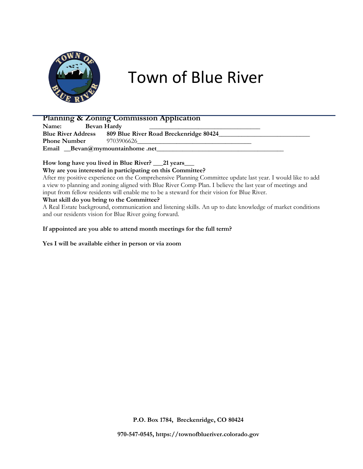

# Town of Blue River

# **Planning & Zoning Commission Application**

Name: **Bevan Hardy** Blue River Address 809 Blue River Road Breckenridge 80424\_ **Phone Number** 9703906626 **Email \_\_Bevan@mymountainhome .net\_\_\_\_\_\_\_\_\_\_\_\_\_\_\_\_\_\_\_\_\_\_\_\_\_\_\_\_\_\_\_\_\_\_\_\_\_\_\_**

# **How long have you lived in Blue River? \_\_\_21 years\_\_\_**

**Why are you interested in participating on this Committee?**

After my positive experience on the Comprehensive Planning Committee update last year. I would like to add a view to planning and zoning aligned with Blue River Comp Plan. I believe the last year of meetings and input from fellow residents will enable me to be a steward for their vision for Blue River.

# **What skill do you bring to the Committee?**

A Real Estate background, communication and listening skills. An up to date knowledge of market conditions and our residents vision for Blue River going forward.

## **If appointed are you able to attend month meetings for the full term?**

**Yes I will be available either in person or via zoom**

**P.O. Box 1784, Breckenridge, CO 80424**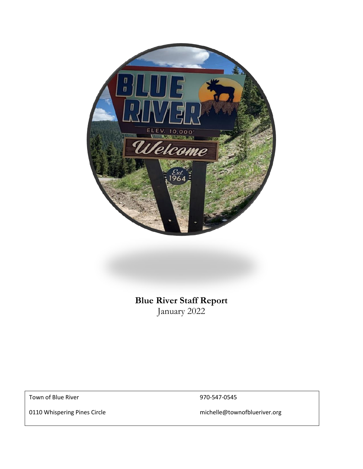

**Blue River Staff Report** January 2022

Blue River, Constantinople, Constantinople, Constantinople, Constantinople, Constantinople, Constantinople, Co<br>En 1970, Constantinople, Constantinople, Constantinople, Constantinople, Constantinople, Constantinople, Const

Town of Blue River **1970-547-0545** 

0110 Whispering Pines Circle michelle@townofblueriver.org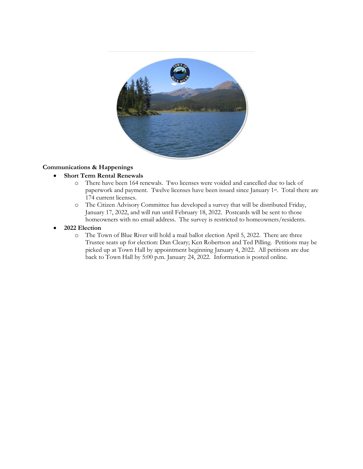

# **Communications & Happenings**

# • **Short Term Rental Renewals**

- o There have been 164 renewals. Two licenses were voided and cancelled due to lack of paperwork and payment. Twelve licenses have been issued since January 1st . Total there are 174 current licenses.
- o The Citizen Advisory Committee has developed a survey that will be distributed Friday, January 17, 2022, and will run until February 18, 2022. Postcards will be sent to those homeowners with no email address. The survey is restricted to homeowners/residents.

## • **2022 Election**

o The Town of Blue River will hold a mail ballot election April 5, 2022. There are three Trustee seats up for election: Dan Cleary; Ken Robertson and Ted Pilling. Petitions may be picked up at Town Hall by appointment beginning January 4, 2022. All petitions are due back to Town Hall by 5:00 p.m. January 24, 2022. Information is posted online.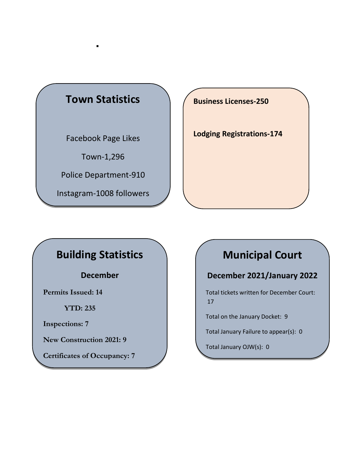# **Town Statistics**

▪

Facebook Page Likes

Town-1,296

Police Department-910

Instagram-1008 followers

**Business Licenses-250**

**Lodging Registrations-174**

# **Building Statistics**

Blue River News-1,082 **December**

**Permits Issued: 14**

**YTD: 235**

**Inspections: 7**

**New Construction 2021: 9**

**Certificates of Occupancy: 7**

# **Municipal Court**

# **December 2021/January 2022**

Total tickets written for December Court: 17

Total on the January Docket: 9

Total January Failure to appear(s): 0

Total January OJW(s): 0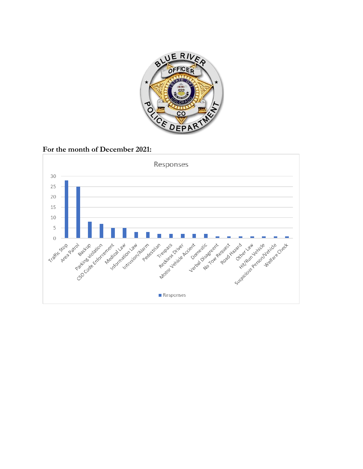

**For the month of December 2021:**

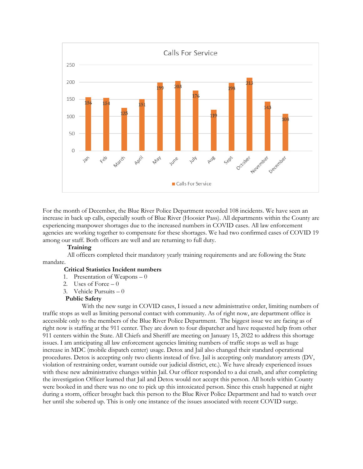

For the month of December, the Blue River Police Department recorded 108 incidents. We have seen an increase in back up calls, especially south of Blue River (Hoosier Pass). All departments within the County are experiencing manpower shortages due to the increased numbers in COVID cases. All law enforcement agencies are working together to compensate for these shortages. We had two confirmed cases of COVID 19 among our staff. Both officers are well and are returning to full duty.

#### **Training**

 All officers completed their mandatory yearly training requirements and are following the State mandate.

## **Critical Statistics Incident numbers**

- 1. Presentation of Weapons  $-0$
- 2. Uses of Force  $-0$
- 3. Vehicle Pursuits 0

#### **Public Safety**

With the new surge in COVID cases, I issued a new administrative order, limiting numbers of traffic stops as well as limiting personal contact with community. As of right now, are department office is accessible only to the members of the Blue River Police Department. The biggest issue we are facing as of right now is staffing at the 911 center. They are down to four dispatcher and have requested help from other 911 centers within the State. All Chiefs and Sheriff are meeting on January 15, 2022 to address this shortage issues. I am anticipating all law enforcement agencies limiting numbers of traffic stops as well as huge increase in MDC (mobile dispatch center) usage. Detox and Jail also changed their standard operational procedures. Detox is accepting only two clients instead of five. Jail is accepting only mandatory arrests (DV, violation of restraining order, warrant outside our judicial district, etc.). We have already experienced issues with these new administrative changes within Jail. Our officer responded to a dui crash, and after completing the investigation Officer learned that Jail and Detox would not accept this person. All hotels within County were booked in and there was no one to pick up this intoxicated person. Since this crash happened at night during a storm, officer brought back this person to the Blue River Police Department and had to watch over her until she sobered up. This is only one instance of the issues associated with recent COVID surge.